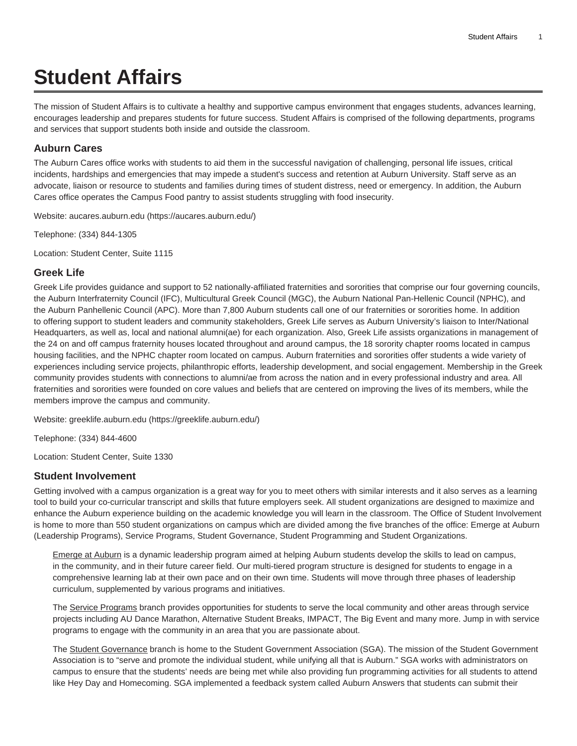# **Student Affairs**

The mission of Student Affairs is to cultivate a healthy and supportive campus environment that engages students, advances learning, encourages leadership and prepares students for future success. Student Affairs is comprised of the following departments, programs and services that support students both inside and outside the classroom.

## **Auburn Cares**

The Auburn Cares office works with students to aid them in the successful navigation of challenging, personal life issues, critical incidents, hardships and emergencies that may impede a student's success and retention at Auburn University. Staff serve as an advocate, liaison or resource to students and families during times of student distress, need or emergency. In addition, the Auburn Cares office operates the Campus Food pantry to assist students struggling with food insecurity.

Website: [aucares.auburn.edu \(https://aucares.auburn.edu/\)](https://aucares.auburn.edu/)

Telephone: (334) 844-1305

Location: Student Center, Suite 1115

## **Greek Life**

Greek Life provides guidance and support to 52 nationally-affiliated fraternities and sororities that comprise our four governing councils, the Auburn Interfraternity Council (IFC), Multicultural Greek Council (MGC), the Auburn National Pan-Hellenic Council (NPHC), and the Auburn Panhellenic Council (APC). More than 7,800 Auburn students call one of our fraternities or sororities home. In addition to offering support to student leaders and community stakeholders, Greek Life serves as Auburn University's liaison to Inter/National Headquarters, as well as, local and national alumni(ae) for each organization. Also, Greek Life assists organizations in management of the 24 on and off campus fraternity houses located throughout and around campus, the 18 sorority chapter rooms located in campus housing facilities, and the NPHC chapter room located on campus. Auburn fraternities and sororities offer students a wide variety of experiences including service projects, philanthropic efforts, leadership development, and social engagement. Membership in the Greek community provides students with connections to alumni/ae from across the nation and in every professional industry and area. All fraternities and sororities were founded on core values and beliefs that are centered on improving the lives of its members, while the members improve the campus and community.

Website: [greeklife.auburn.edu \(https://greeklife.auburn.edu/\)](https://greeklife.auburn.edu/)

Telephone: (334) 844-4600

Location: Student Center, Suite 1330

#### **Student Involvement**

Getting involved with a campus organization is a great way for you to meet others with similar interests and it also serves as a learning tool to build your co-curricular transcript and skills that future employers seek. All student organizations are designed to maximize and enhance the Auburn experience building on the academic knowledge you will learn in the classroom. The Office of Student Involvement is home to more than 550 student organizations on campus which are divided among the five branches of the office: Emerge at Auburn (Leadership Programs), Service Programs, Student Governance, Student Programming and Student Organizations.

Emerge at Auburn is a dynamic leadership program aimed at helping Auburn students develop the skills to lead on campus, in the community, and in their future career field. Our multi-tiered program structure is designed for students to engage in a comprehensive learning lab at their own pace and on their own time. Students will move through three phases of leadership curriculum, supplemented by various programs and initiatives.

The Service Programs branch provides opportunities for students to serve the local community and other areas through service projects including AU Dance Marathon, Alternative Student Breaks, IMPACT, The Big Event and many more. Jump in with service programs to engage with the community in an area that you are passionate about.

The Student Governance branch is home to the Student Government Association (SGA). The mission of the Student Government Association is to "serve and promote the individual student, while unifying all that is Auburn." SGA works with administrators on campus to ensure that the students' needs are being met while also providing fun programming activities for all students to attend like Hey Day and Homecoming. SGA implemented a feedback system called Auburn Answers that students can submit their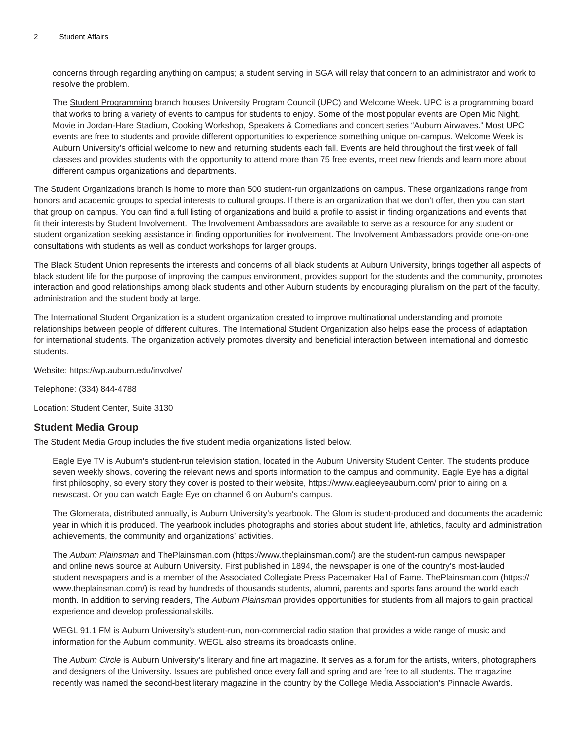concerns through regarding anything on campus; a student serving in SGA will relay that concern to an administrator and work to resolve the problem.

The Student Programming branch houses University Program Council (UPC) and Welcome Week. UPC is a programming board that works to bring a variety of events to campus for students to enjoy. Some of the most popular events are Open Mic Night, Movie in Jordan-Hare Stadium, Cooking Workshop, Speakers & Comedians and concert series "Auburn Airwaves." Most UPC events are free to students and provide different opportunities to experience something unique on-campus. Welcome Week is Auburn University's official welcome to new and returning students each fall. Events are held throughout the first week of fall classes and provides students with the opportunity to attend more than 75 free events, meet new friends and learn more about different campus organizations and departments.

The Student Organizations branch is home to more than 500 student-run organizations on campus. These organizations range from honors and academic groups to special interests to cultural groups. If there is an organization that we don't offer, then you can start that group on campus. You can find a full listing of organizations and build a profile to assist in finding organizations and events that fit their interests by Student Involvement. The Involvement Ambassadors are available to serve as a resource for any student or student organization seeking assistance in finding opportunities for involvement. The Involvement Ambassadors provide one-on-one consultations with students as well as conduct workshops for larger groups.

The Black Student Union represents the interests and concerns of all black students at Auburn University, brings together all aspects of black student life for the purpose of improving the campus environment, provides support for the students and the community, promotes interaction and good relationships among black students and other Auburn students by encouraging pluralism on the part of the faculty, administration and the student body at large.

The International Student Organization is a student organization created to improve multinational understanding and promote relationships between people of different cultures. The International Student Organization also helps ease the process of adaptation for international students. The organization actively promotes diversity and beneficial interaction between international and domestic students.

Website: <https://wp.auburn.edu/involve/>

Telephone: (334) 844-4788

Location: Student Center, Suite 3130

## **Student Media Group**

The Student Media Group includes the five student media organizations listed below.

Eagle Eye TV is Auburn's student-run television station, located in the Auburn University Student Center. The students produce seven weekly shows, covering the relevant news and sports information to the campus and community. Eagle Eye has a digital first philosophy, so every story they cover is posted to their website, <https://www.eagleeyeauburn.com/> prior to airing on a newscast. Or you can watch Eagle Eye on channel 6 on Auburn's campus.

The Glomerata, distributed annually, is Auburn University's yearbook. The Glom is student-produced and documents the academic year in which it is produced. The yearbook includes photographs and stories about student life, athletics, faculty and administration achievements, the community and organizations' activities.

The Auburn Plainsman and [ThePlainsman.com \(https://www.theplainsman.com/\)](https://www.theplainsman.com/) are the student-run campus newspaper and online news source at Auburn University. First published in 1894, the newspaper is one of the country's most-lauded student newspapers and is a member of the Associated Collegiate Press Pacemaker Hall of Fame. [ThePlainsman.com](https://www.theplainsman.com/) ([https://](https://www.theplainsman.com/) [www.theplainsman.com/\)](https://www.theplainsman.com/) is read by hundreds of thousands students, alumni, parents and sports fans around the world each month. In addition to serving readers, The Auburn Plainsman provides opportunities for students from all majors to gain practical experience and develop professional skills.

WEGL 91.1 FM is Auburn University's student-run, non-commercial radio station that provides a wide range of music and information for the Auburn community. WEGL also streams its broadcasts online.

The Auburn Circle is Auburn University's literary and fine art magazine. It serves as a forum for the artists, writers, photographers and designers of the University. Issues are published once every fall and spring and are free to all students. The magazine recently was named the second-best literary magazine in the country by the College Media Association's Pinnacle Awards.